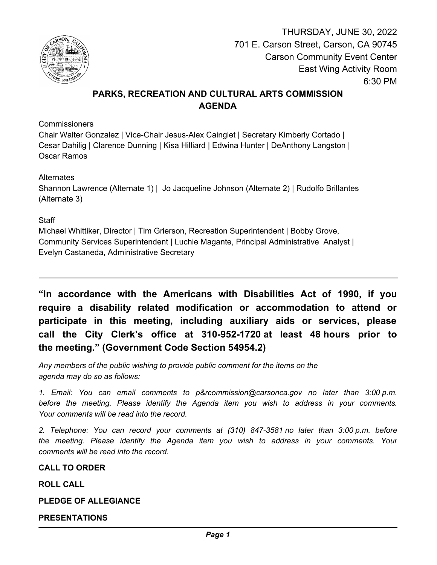

THURSDAY, JUNE 30, 2022 701 E. Carson Street, Carson, CA 90745 Carson Community Event Center East Wing Activity Room 6:30 PM

# **PARKS, RECREATION AND CULTURAL ARTS COMMISSION AGENDA**

**Commissioners** 

Chair Walter Gonzalez | Vice-Chair Jesus-Alex Cainglet | Secretary Kimberly Cortado | Cesar Dahilig | Clarence Dunning | Kisa Hilliard | Edwina Hunter | DeAnthony Langston | Oscar Ramos

**Alternates** 

Shannon Lawrence (Alternate 1) | Jo Jacqueline Johnson (Alternate 2) | Rudolfo Brillantes (Alternate 3)

# **Staff**

Michael Whittiker, Director | Tim Grierson, Recreation Superintendent | Bobby Grove, Community Services Superintendent | Luchie Magante, Principal Administrative Analyst | Evelyn Castaneda, Administrative Secretary

**"In accordance with the Americans with Disabilities Act of 1990, if you require a disability related modification or accommodation to attend or participate in this meeting, including auxiliary aids or services, please call the City Clerk's office at 310-952-1720 at least 48 hours prior to the meeting." (Government Code Section 54954.2)**

*Any members of the public wishing to provide public comment for the items on the agenda may do so as follows:*

*1. Email: You can email comments to p&rcommission@carsonca.gov no later than 3:00 p.m. before the meeting. Please identify the Agenda item you wish to address in your comments. Your comments will be read into the record.*

*2. Telephone: You can record your comments at (310) 847-3581 no later than 3:00 p.m. before the meeting. Please identify the Agenda item you wish to address in your comments. Your comments will be read into the record.*

**CALL TO ORDER**

**ROLL CALL**

**PLEDGE OF ALLEGIANCE**

**PRESENTATIONS**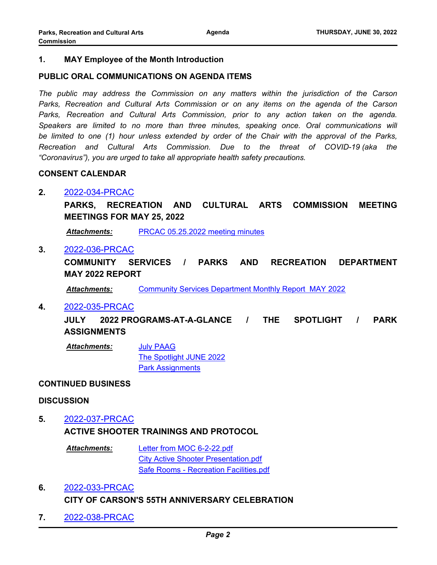# **1. MAY Employee of the Month Introduction**

# **PUBLIC ORAL COMMUNICATIONS ON AGENDA ITEMS**

*The public may address the Commission on any matters within the jurisdiction of the Carson Parks, Recreation and Cultural Arts Commission or on any items on the agenda of the Carson Parks, Recreation and Cultural Arts Commission, prior to any action taken on the agenda.*  Speakers are limited to no more than three minutes, speaking once. Oral communications will *be limited to one (1) hour unless extended by order of the Chair with the approval of the Parks, Recreation and Cultural Arts Commission. Due to the threat of COVID-19 (aka the "Coronavirus"), you are urged to take all appropriate health safety precautions.*

#### **CONSENT CALENDAR**

# **2.** [2022-034-PRCAC](http://carson.legistar.com/gateway.aspx?m=l&id=/matter.aspx?key=10495)

**PARKS, RECREATION AND CULTURAL ARTS COMMISSION MEETING MEETINGS FOR MAY 25, 2022**

*Attachments:* [PRCAC 05.25.2022 meeting minutes](http://carson.legistar.com/gateway.aspx?M=F&ID=b13f7a64-abe9-4e43-8f2f-4b5f170cc089.pdf)

# **3.** [2022-036-PRCAC](http://carson.legistar.com/gateway.aspx?m=l&id=/matter.aspx?key=10506)

**COMMUNITY SERVICES / PARKS AND RECREATION DEPARTMENT MAY 2022 REPORT**

*Attachments:* [Community Services Department Monthly Report MAY 2022](http://carson.legistar.com/gateway.aspx?M=F&ID=209633dc-a787-4841-8875-1a70687beb70.pdf)

#### **4.** [2022-035-PRCAC](http://carson.legistar.com/gateway.aspx?m=l&id=/matter.aspx?key=10496)

**JULY 2022 PROGRAMS-AT-A-GLANCE / THE SPOTLIGHT / PARK ASSIGNMENTS**

[July PAAG](http://carson.legistar.com/gateway.aspx?M=F&ID=31330a8c-c43f-4e2a-9ba0-bc5e36bdb2a9.pdf) [The Spotlight JUNE 2022](http://carson.legistar.com/gateway.aspx?M=F&ID=734bb620-7650-4320-9416-f6b477c11806.pdf) [Park Assignments](http://carson.legistar.com/gateway.aspx?M=F&ID=f33a062c-5557-4389-affc-6e4d512de9b3.pdf) *Attachments:*

# **CONTINUED BUSINESS**

#### **DISCUSSION**

# **5.** [2022-037-PRCAC](http://carson.legistar.com/gateway.aspx?m=l&id=/matter.aspx?key=10504) **ACTIVE SHOOTER TRAININGS AND PROTOCOL**

[Letter from MOC 6-2-22.pdf](http://carson.legistar.com/gateway.aspx?M=F&ID=ab31f58a-dbb8-4145-b82f-3c74d3080644.pdf) [City Active Shooter Presentation.pdf](http://carson.legistar.com/gateway.aspx?M=F&ID=6faba2d7-6d36-47db-af22-c4f46b9d9a1c.pdf) [Safe Rooms - Recreation Facilities.pdf](http://carson.legistar.com/gateway.aspx?M=F&ID=0a3af707-1632-440b-b3e5-5febe7c5775f.pdf) *Attachments:*

# **6.** [2022-033-PRCAC](http://carson.legistar.com/gateway.aspx?m=l&id=/matter.aspx?key=10493) **CITY OF CARSON'S 55TH ANNIVERSARY CELEBRATION**

**7.** [2022-038-PRCAC](http://carson.legistar.com/gateway.aspx?m=l&id=/matter.aspx?key=10503)